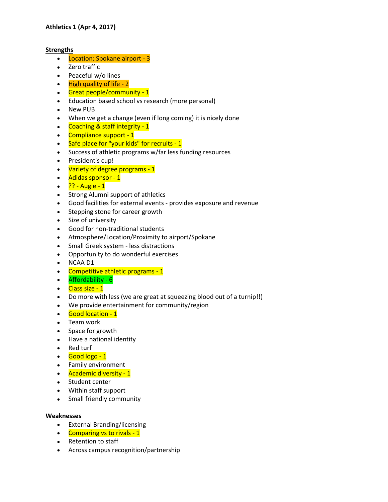## **Strengths**

- Location: Spokane airport 3
- Zero traffic
- Peaceful w/o lines
- $\bullet$  High quality of life 2
- Great people/community 1
- Education based school vs research (more personal)
- New PUB
- When we get a change (even if long coming) it is nicely done
- Coaching & staff integrity 1
- Compliance support 1
- Safe place for "your kids" for recruits 1
- Success of athletic programs w/far less funding resources
- President's cup!
- Variety of degree programs 1
- Adidas sponsor 1
- $?? \text{Augie} 1$
- Strong Alumni support of athletics
- Good facilities for external events provides exposure and revenue
- Stepping stone for career growth
- Size of university
- Good for non-traditional students
- Atmosphere/Location/Proximity to airport/Spokane
- Small Greek system less distractions
- Opportunity to do wonderful exercises
- NCAA D1
- Competitive athletic programs 1
- Affordability 6
- Class size 1
- Do more with less (we are great at squeezing blood out of a turnip!!)
- We provide entertainment for community/region
- Good location 1
- Team work
- Space for growth
- Have a national identity
- Red turf
- Good logo 1
- Family environment
- Academic diversity 1
- Student center
- Within staff support
- Small friendly community

## **Weaknesses**

- External Branding/licensing
- Comparing vs to rivals 1
- Retention to staff
- Across campus recognition/partnership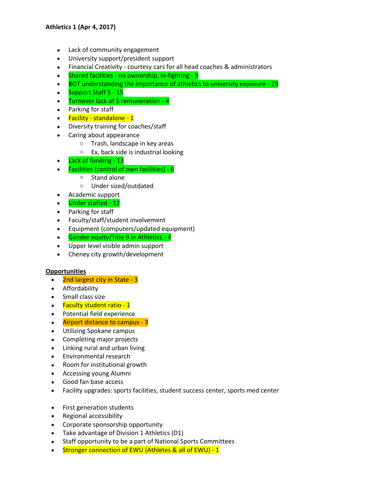- Lack of community engagement
- University support/president support
- Financial Creativity courtesy cars for all head coaches & administrators
- Shared facilities no ownership, in-fighting 9
- BOT understanding the importance of athletics to university exposure 29
- Support Staff \$ 15
- $\bullet$  Turnover lack of \$ remuneration 4
- Parking for staff
- Facility standalone 1
- Diversity training for coaches/staff
- Caring about appearance
	- o Trash, landscape in key areas
	- o Ex, back side is industrial looking
- Lack of funding 13
- Facilities (control of own facilities) 6
	- o Stand alone
	- o Under sized/outdated
- Academic support
- Under staffed 12
- Parking for staff
- Faculty/staff/student involvement
- Equipment (computers/updated equipment)
- **Gender equity/Title 9 in Athletics 4**
- Upper level visible admin support
- Cheney city growth/development

## **Opportunities**

- 2nd largest city in State 3
- Affordability
- Small class size
- Faculty student ratio 1
- Potential field experience
- Airport distance to campus 3
- Utilizing Spokane campus
- Completing major projects
- Linking rural and urban living
- Environmental research
- Room for institutional growth
- Accessing young Alumni
- Good fan base access
- Facility upgrades: sports facilities, student success center, sports med center
- First generation students
- Regional accessibility
- Corporate sponsorship opportunity
- Take advantage of Division 1 Athletics (D1)
- Staff opportunity to be a part of National Sports Committees
- Stronger connection of EWU (Athletes & all of EWU) 1